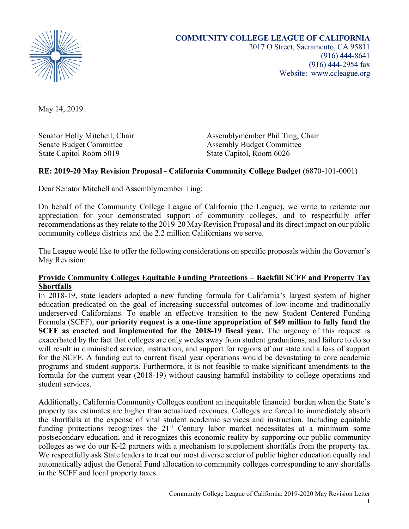

(916) 444-8641 (916) 444-2954 fax Website: www.ccleague.org

May 14, 2019

Senate Budget Committee Assembly Budget Committee State Capitol Room 5019 State Capitol, Room 6026

Senator Holly Mitchell, Chair **Assemblymember Phil Ting, Chair** Assemblymember Phil Ting, Chair

### **RE: 2019-20 May Revision Proposal - California Community College Budget (**6870-101-0001)

Dear Senator Mitchell and Assemblymember Ting:

On behalf of the Community College League of California (the League), we write to reiterate our appreciation for your demonstrated support of community colleges, and to respectfully offer recommendations asthey relate to the 2019-20 May Revision Proposal and its direct impact on our public community college districts and the 2.2 million Californians we serve.

The League would like to offer the following considerations on specific proposals within the Governor's May Revision:

#### **Provide Community Colleges Equitable Funding Protections – Backfill SCFF and Property Tax Shortfalls**

In 2018-19, state leaders adopted a new funding formula for California's largest system of higher education predicated on the goal of increasing successful outcomes of low-income and traditionally underserved Californians. To enable an effective transition to the new Student Centered Funding Formula (SCFF), **our priority request is a one-time appropriation of \$49 million to fully fund the SCFF as enacted and implemented for the 2018-19 fiscal year.** The urgency of this request is exacerbated by the fact that colleges are only weeks away from student graduations, and failure to do so will result in diminished service, instruction, and support for regions of our state and a loss of support for the SCFF. A funding cut to current fiscal year operations would be devastating to core academic programs and student supports. Furthermore, it is not feasible to make significant amendments to the formula for the current year (2018-19) without causing harmful instability to college operations and student services.

Additionally, California Community Colleges confront an inequitable financial burden when the State's property tax estimates are higher than actualized revenues. Colleges are forced to immediately absorb the shortfalls at the expense of vital student academic services and instruction. Including equitable funding protections recognizes the  $21<sup>st</sup>$  Century labor market necessitates at a minimum some postsecondary education, and it recognizes this economic reality by supporting our public community colleges as we do our K-l2 partners with a mechanism to supplement shortfalls from the property tax. We respectfully ask State leaders to treat our most diverse sector of public higher education equally and automatically adjust the General Fund allocation to community colleges corresponding to any shortfalls in the SCFF and local property taxes.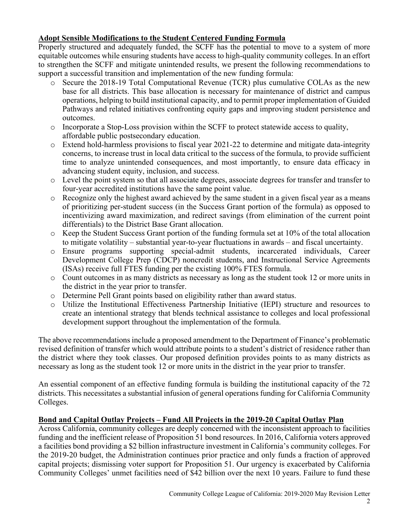## **Adopt Sensible Modifications to the Student Centered Funding Formula**

Properly structured and adequately funded, the SCFF has the potential to move to a system of more equitable outcomes while ensuring students have access to high-quality community colleges. In an effort to strengthen the SCFF and mitigate unintended results, we present the following recommendations to support a successful transition and implementation of the new funding formula:

- o Secure the 2018-19 Total Computational Revenue (TCR) plus cumulative COLAs as the new base for all districts. This base allocation is necessary for maintenance of district and campus operations, helping to build institutional capacity, and to permit proper implementation of Guided Pathways and related initiatives confronting equity gaps and improving student persistence and outcomes.
- $\circ$  Incorporate a Stop-Loss provision within the SCFF to protect statewide access to quality, affordable public postsecondary education.
- o Extend hold-harmless provisions to fiscal year 2021-22 to determine and mitigate data-integrity concerns, to increase trust in local data critical to the success of the formula, to provide sufficient time to analyze unintended consequences, and most importantly, to ensure data efficacy in advancing student equity, inclusion, and success.
- o Level the point system so that all associate degrees, associate degrees for transfer and transfer to four-year accredited institutions have the same point value.
- o Recognize only the highest award achieved by the same student in a given fiscal year as a means of prioritizing per-student success (in the Success Grant portion of the formula) as opposed to incentivizing award maximization, and redirect savings (from elimination of the current point differentials) to the District Base Grant allocation.
- $\circ$  Keep the Student Success Grant portion of the funding formula set at 10% of the total allocation to mitigate volatility – substantial year-to-year fluctuations in awards – and fiscal uncertainty.
- o Ensure programs supporting special-admit students, incarcerated individuals, Career Development College Prep (CDCP) noncredit students, and Instructional Service Agreements (ISAs) receive full FTES funding per the existing 100% FTES formula.
- o Count outcomes in as many districts as necessary as long as the student took 12 or more units in the district in the year prior to transfer.
- o Determine Pell Grant points based on eligibility rather than award status.
- o Utilize the Institutional Effectiveness Partnership Initiative (IEPI) structure and resources to create an intentional strategy that blends technical assistance to colleges and local professional development support throughout the implementation of the formula.

The above recommendations include a proposed amendment to the Department of Finance's problematic revised definition of transfer which would attribute points to a student's district of residence rather than the district where they took classes. Our proposed definition provides points to as many districts as necessary as long as the student took 12 or more units in the district in the year prior to transfer.

An essential component of an effective funding formula is building the institutional capacity of the 72 districts. This necessitates a substantial infusion of general operations funding for California Community Colleges.

# **Bond and Capital Outlay Projects – Fund All Projects in the 2019-20 Capital Outlay Plan**

Across California, community colleges are deeply concerned with the inconsistent approach to facilities funding and the inefficient release of Proposition 51 bond resources. In 2016, California voters approved a facilities bond providing a \$2 billion infrastructure investment in California's community colleges. For the 2019-20 budget, the Administration continues prior practice and only funds a fraction of approved capital projects; dismissing voter support for Proposition 51. Our urgency is exacerbated by California Community Colleges' unmet facilities need of \$42 billion over the next 10 years. Failure to fund these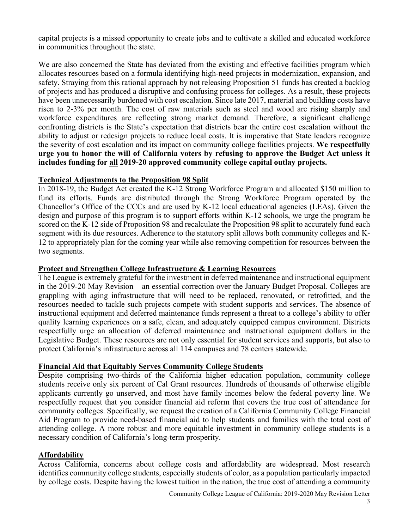capital projects is a missed opportunity to create jobs and to cultivate a skilled and educated workforce in communities throughout the state.

We are also concerned the State has deviated from the existing and effective facilities program which allocates resources based on a formula identifying high-need projects in modernization, expansion, and safety. Straying from this rational approach by not releasing Proposition 51 funds has created a backlog of projects and has produced a disruptive and confusing process for colleges. As a result, these projects have been unnecessarily burdened with cost escalation. Since late 2017, material and building costs have risen to 2-3% per month. The cost of raw materials such as steel and wood are rising sharply and workforce expenditures are reflecting strong market demand. Therefore, a significant challenge confronting districts is the State's expectation that districts bear the entire cost escalation without the ability to adjust or redesign projects to reduce local costs. It is imperative that State leaders recognize the severity of cost escalation and its impact on community college facilities projects. **We respectfully urge you to honor the will of California voters by refusing to approve the Budget Act unless it includes funding for all 2019-20 approved community college capital outlay projects.**

### **Technical Adjustments to the Proposition 98 Split**

In 2018-19, the Budget Act created the K-12 Strong Workforce Program and allocated \$150 million to fund its efforts. Funds are distributed through the Strong Workforce Program operated by the Chancellor's Office of the CCCs and are used by K-12 local educational agencies (LEAs). Given the design and purpose of this program is to support efforts within K-12 schools, we urge the program be scored on the K-12 side of Proposition 98 and recalculate the Proposition 98 split to accurately fund each segment with its due resources. Adherence to the statutory split allows both community colleges and K-12 to appropriately plan for the coming year while also removing competition for resources between the two segments.

#### **Protect and Strengthen College Infrastructure & Learning Resources**

The League is extremely grateful for the investment in deferred maintenance and instructional equipment in the 2019-20 May Revision – an essential correction over the January Budget Proposal. Colleges are grappling with aging infrastructure that will need to be replaced, renovated, or retrofitted, and the resources needed to tackle such projects compete with student supports and services. The absence of instructional equipment and deferred maintenance funds represent a threat to a college's ability to offer quality learning experiences on a safe, clean, and adequately equipped campus environment. Districts respectfully urge an allocation of deferred maintenance and instructional equipment dollars in the Legislative Budget. These resources are not only essential for student services and supports, but also to protect California's infrastructure across all 114 campuses and 78 centers statewide.

### **Financial Aid that Equitably Serves Community College Students**

Despite comprising two-thirds of the California higher education population, community college students receive only six percent of Cal Grant resources. Hundreds of thousands of otherwise eligible applicants currently go unserved, and most have family incomes below the federal poverty line. We respectfully request that you consider financial aid reform that covers the true cost of attendance for community colleges. Specifically, we request the creation of a California Community College Financial Aid Program to provide need-based financial aid to help students and families with the total cost of attending college. A more robust and more equitable investment in community college students is a necessary condition of California's long-term prosperity.

## **Affordability**

Across California, concerns about college costs and affordability are widespread. Most research identifies community college students, especially students of color, as a population particularly impacted by college costs. Despite having the lowest tuition in the nation, the true cost of attending a community